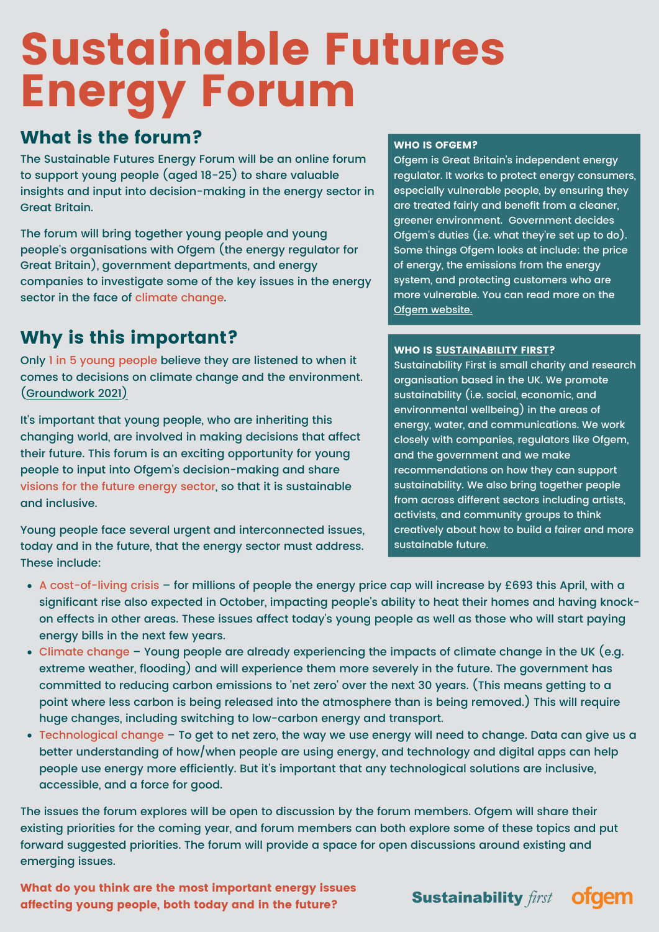# Sustainable Futures Energy Forum

# What is the forum?

The Sustainable Futures Energy Forum will be an online forum to support young people (aged 18-25) to share valuable insights and input into decision-making in the energy sector in Great Britain.

The forum will bring together young people and young people's organisations with Ofgem (the energy regulator for Great Britain), government departments, and energy companies to investigate some of the key issues in the energy sector in the face of climate change.

# Why is this important?

Only 1 in 5 young people believe they are listened to when it comes to decisions on climate change and the environment. ([Groundwork 2021](https://www.groundwork.org.uk/news-youth-in-a-changing-climate/))

It's important that young people, who are inheriting this changing world, are involved in making decisions that affect their future. This forum is an exciting opportunity for young people to input into Ofgem's decision-making and share visions for the future energy sector, so that it is sustainable and inclusive.

Young people face several urgent and interconnected issues, today and in the future, that the energy sector must address. These include:

#### WHO IS OFGEM?

Ofgem is Great Britain's independent energy regulator. It works to protect energy consumers, especially vulnerable people, by ensuring they are treated fairly and benefit from a cleaner, greener environment. Government decides Ofgem's duties (i.e. what they're set up to do). Some things Ofgem looks at include: the price of energy, the emissions from the energy system, and protecting customers who are more vulnerable. You can read more on the Ofgem [website.](https://www.ofgem.gov.uk/about-us/our-role-and-responsibilities)

#### WHO IS [SUSTAINABILITY](https://www.sustainabilityfirst.org.uk/) FIRST?

Sustainability First is small charity and research organisation based in the UK. We promote sustainability (i.e. social, economic, and environmental wellbeing) in the areas of energy, water, and communications. We work closely with companies, regulators like Ofgem, and the government and we make recommendations on how they can support sustainability. We also bring together people from across different sectors including artists, activists, and community groups to think creatively about how to build a fairer and more sustainable future.

- A cost-of-living crisis for millions of people the energy price cap will increase by £693 this April, with a significant rise also expected in October, impacting people's ability to heat their homes and having knockon effects in other areas. These issues affect today's young people as well as those who will start paying energy bills in the next few years.
- Climate change Young people are already experiencing the impacts of climate change in the UK (e.g. extreme weather, flooding) and will experience them more severely in the future. The government has committed to reducing carbon emissions to 'net zero' over the next 30 years. (This means getting to a point where less carbon is being released into the atmosphere than is being removed.) This will require huge changes, including switching to low-carbon energy and transport.
- Technological change To get to net zero, the way we use energy will need to change. Data can give us a better understanding of how/when people are using energy, and technology and digital apps can help people use energy more efficiently. But it's important that any technological solutions are inclusive, accessible, and a force for good.

The issues the forum explores will be open to discussion by the forum members. Ofgem will share their existing priorities for the coming year, and forum members can both explore some of these topics and put forward suggested priorities. The forum will provide a space for open discussions around existing and emerging issues.

What do you think are the most important energy issues affecting young people, both today and in the future?

**Sustainability** first

**ofgem**